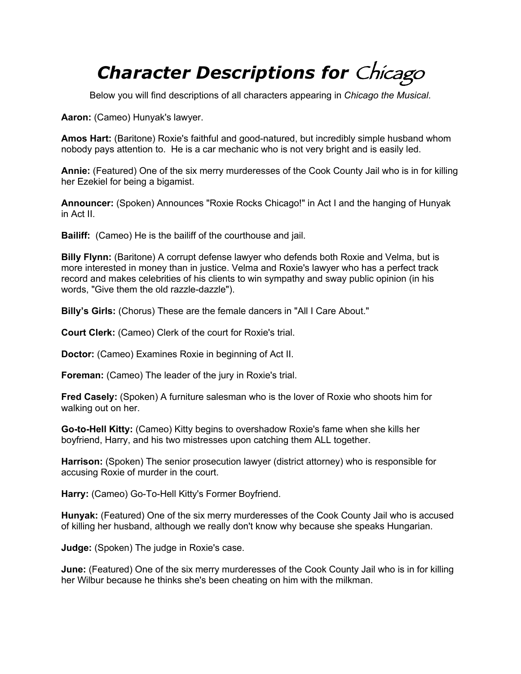## *Character Descriptions for* Chicago

Below you will find descriptions of all characters appearing in *Chicago the Musical*.

**Aaron:** (Cameo) Hunyak's lawyer.

**Amos Hart:** (Baritone) Roxie's faithful and good-natured, but incredibly simple husband whom nobody pays attention to. He is a car mechanic who is not very bright and is easily led.

**Annie:** (Featured) One of the six merry murderesses of the Cook County Jail who is in for killing her Ezekiel for being a bigamist.

**Announcer:** (Spoken) Announces "Roxie Rocks Chicago!" in Act I and the hanging of Hunyak in Act II.

**Bailiff:** (Cameo) He is the bailiff of the courthouse and jail.

**Billy Flynn:** (Baritone) A corrupt defense lawyer who defends both Roxie and Velma, but is more interested in money than in justice. Velma and Roxie's lawyer who has a perfect track record and makes celebrities of his clients to win sympathy and sway public opinion (in his words, "Give them the old razzle-dazzle").

**Billy's Girls:** (Chorus) These are the female dancers in "All I Care About."

**Court Clerk:** (Cameo) Clerk of the court for Roxie's trial.

**Doctor:** (Cameo) Examines Roxie in beginning of Act II.

**Foreman:** (Cameo) The leader of the jury in Roxie's trial.

**Fred Casely:** (Spoken) A furniture salesman who is the lover of Roxie who shoots him for walking out on her.

**Go-to-Hell Kitty:** (Cameo) Kitty begins to overshadow Roxie's fame when she kills her boyfriend, Harry, and his two mistresses upon catching them ALL together.

**Harrison:** (Spoken) The senior prosecution lawyer (district attorney) who is responsible for accusing Roxie of murder in the court.

**Harry:** (Cameo) Go-To-Hell Kitty's Former Boyfriend.

**Hunyak:** (Featured) One of the six merry murderesses of the Cook County Jail who is accused of killing her husband, although we really don't know why because she speaks Hungarian.

**Judge:** (Spoken) The judge in Roxie's case.

**June:** (Featured) One of the six merry murderesses of the Cook County Jail who is in for killing her Wilbur because he thinks she's been cheating on him with the milkman.